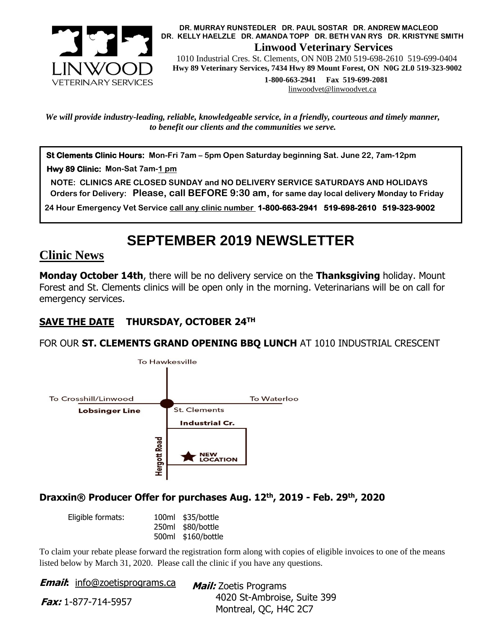

 **DR. MURRAY RUNSTEDLER DR. PAUL SOSTAR DR. ANDREW MACLEOD DR. KELLY HAELZLE DR. AMANDA TOPP DR. BETH VAN RYS DR. KRISTYNE SMITH Linwood Veterinary Services**

 1010 Industrial Cres. St. Clements, ON N0B 2M0 519-698-2610 519-699-0404  **Hwy 89 Veterinary Services, 7434 Hwy 89 Mount Forest, ON N0G 2L0 519-323-9002**

> **1-800-663-2941 Fax 519-699-2081** [linwoodvet@linwoodvet.ca](mailto:linwoodvet@linwoodvet.ca)

*We will provide industry-leading, reliable, knowledgeable service, in a friendly, courteous and timely manner, to benefit our clients and the communities we serve.*

**St Clements Clinic Hours: Mon-Fri 7am – 5pm Open Saturday beginning Sat. June 22, 7am-12pm**

 **Hwy 89 Clinic: Mon-Sat 7am-1 pm**

 **NOTE: CLINICS ARE CLOSED SUNDAY and NO DELIVERY SERVICE SATURDAYS AND HOLIDAYS Orders for Delivery: Please, call BEFORE 9:30 am, for same day local delivery Monday to Friday** 

 **24 Hour Emergency Vet Service call any clinic number 1-800-663-2941 519-698-2610 519-323-9002**

# **SEPTEMBER 2019 NEWSLETTER**

## **Clinic News**

**Monday October 14th**, there will be no delivery service on the **Thanksgiving** holiday. Mount Forest and St. Clements clinics will be open only in the morning. Veterinarians will be on call for emergency services.

### **SAVE THE DATE THURSDAY, OCTOBER 24TH**

FOR OUR **ST. CLEMENTS GRAND OPENING BBQ LUNCH** AT 1010 INDUSTRIAL CRESCENT



### **Draxxin® Producer Offer for purchases Aug. 12th , 2019 - Feb. 29th , 2020**

| Eligible formats: | 100ml \$35/bottle  |
|-------------------|--------------------|
|                   | 250ml \$80/bottle  |
|                   | 500ml \$160/bottle |

To claim your rebate please forward the registration form along with copies of eligible invoices to one of the means listed below by March 31, 2020. Please call the clinic if you have any questions.

| <b>Email:</b> info@zoetisprograms.ca | <b>Mail:</b> Zoetis Programs |  |
|--------------------------------------|------------------------------|--|
| <b>Fax:</b> 1-877-714-5957           | 4020 St-Ambroise, Suite 399  |  |
|                                      | Montreal, QC, H4C 2C7        |  |